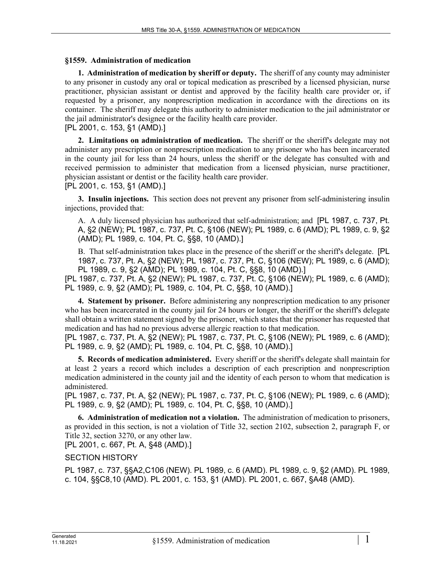## **§1559. Administration of medication**

**1. Administration of medication by sheriff or deputy.** The sheriff of any county may administer to any prisoner in custody any oral or topical medication as prescribed by a licensed physician, nurse practitioner, physician assistant or dentist and approved by the facility health care provider or, if requested by a prisoner, any nonprescription medication in accordance with the directions on its container. The sheriff may delegate this authority to administer medication to the jail administrator or the jail administrator's designee or the facility health care provider.

[PL 2001, c. 153, §1 (AMD).]

**2. Limitations on administration of medication.** The sheriff or the sheriff's delegate may not administer any prescription or nonprescription medication to any prisoner who has been incarcerated in the county jail for less than 24 hours, unless the sheriff or the delegate has consulted with and received permission to administer that medication from a licensed physician, nurse practitioner, physician assistant or dentist or the facility health care provider.

## [PL 2001, c. 153, §1 (AMD).]

**3. Insulin injections.** This section does not prevent any prisoner from self-administering insulin injections, provided that:

A. A duly licensed physician has authorized that self-administration; and [PL 1987, c. 737, Pt. A, §2 (NEW); PL 1987, c. 737, Pt. C, §106 (NEW); PL 1989, c. 6 (AMD); PL 1989, c. 9, §2 (AMD); PL 1989, c. 104, Pt. C, §§8, 10 (AMD).]

B. That self-administration takes place in the presence of the sheriff or the sheriff's delegate. [PL 1987, c. 737, Pt. A, §2 (NEW); PL 1987, c. 737, Pt. C, §106 (NEW); PL 1989, c. 6 (AMD); PL 1989, c. 9, §2 (AMD); PL 1989, c. 104, Pt. C, §§8, 10 (AMD).]

[PL 1987, c. 737, Pt. A, §2 (NEW); PL 1987, c. 737, Pt. C, §106 (NEW); PL 1989, c. 6 (AMD); PL 1989, c. 9, §2 (AMD); PL 1989, c. 104, Pt. C, §§8, 10 (AMD).]

**4. Statement by prisoner.** Before administering any nonprescription medication to any prisoner who has been incarcerated in the county jail for 24 hours or longer, the sheriff or the sheriff's delegate shall obtain a written statement signed by the prisoner, which states that the prisoner has requested that medication and has had no previous adverse allergic reaction to that medication.

[PL 1987, c. 737, Pt. A, §2 (NEW); PL 1987, c. 737, Pt. C, §106 (NEW); PL 1989, c. 6 (AMD); PL 1989, c. 9, §2 (AMD); PL 1989, c. 104, Pt. C, §§8, 10 (AMD).]

**5. Records of medication administered.** Every sheriff or the sheriff's delegate shall maintain for at least 2 years a record which includes a description of each prescription and nonprescription medication administered in the county jail and the identity of each person to whom that medication is administered.

[PL 1987, c. 737, Pt. A, §2 (NEW); PL 1987, c. 737, Pt. C, §106 (NEW); PL 1989, c. 6 (AMD); PL 1989, c. 9, §2 (AMD); PL 1989, c. 104, Pt. C, §§8, 10 (AMD).]

**6. Administration of medication not a violation.** The administration of medication to prisoners, as provided in this section, is not a violation of Title 32, section 2102, subsection 2, paragraph F, or Title 32, section 3270, or any other law.

[PL 2001, c. 667, Pt. A, §48 (AMD).]

## SECTION HISTORY

PL 1987, c. 737, §§A2,C106 (NEW). PL 1989, c. 6 (AMD). PL 1989, c. 9, §2 (AMD). PL 1989, c. 104, §§C8,10 (AMD). PL 2001, c. 153, §1 (AMD). PL 2001, c. 667, §A48 (AMD).